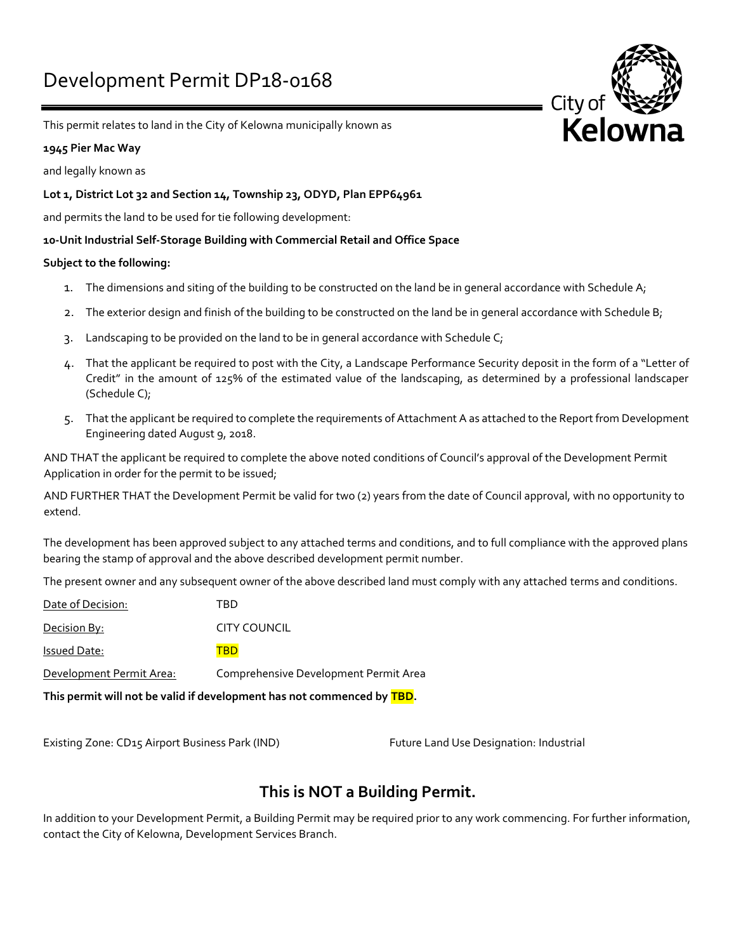

This permit relates to land in the City of Kelowna municipally known as

### **1945 Pier Mac Way**

and legally known as

## **Lot 1, District Lot 32 and Section 14, Township 23, ODYD, Plan EPP64961**

and permits the land to be used for tie following development:

### **10-Unit Industrial Self-Storage Building with Commercial Retail and Office Space**

### **Subject to the following:**

- 1. The dimensions and siting of the building to be constructed on the land be in general accordance with Schedule A;
- 2. The exterior design and finish of the building to be constructed on the land be in general accordance with Schedule B;
- 3. Landscaping to be provided on the land to be in general accordance with Schedule C;
- 4. That the applicant be required to post with the City, a Landscape Performance Security deposit in the form of a "Letter of Credit" in the amount of 125% of the estimated value of the landscaping, as determined by a professional landscaper (Schedule C);
- 5. That the applicant be required to complete the requirements of Attachment A as attached to the Report from Development Engineering dated August 9, 2018.

AND THAT the applicant be required to complete the above noted conditions of Council's approval of the Development Permit Application in order for the permit to be issued;

AND FURTHER THAT the Development Permit be valid for two (2) years from the date of Council approval, with no opportunity to extend.

The development has been approved subject to any attached terms and conditions, and to full compliance with the approved plans bearing the stamp of approval and the above described development permit number.

The present owner and any subsequent owner of the above described land must comply with any attached terms and conditions.

| This permit will not be valid if development has not commenced by TBD. |                                       |
|------------------------------------------------------------------------|---------------------------------------|
| Development Permit Area:                                               | Comprehensive Development Permit Area |
| Issued Date:                                                           | TBD                                   |
| Decision By:                                                           | <b>CITY COUNCIL</b>                   |
| Date of Decision:                                                      | TBD                                   |

Existing Zone: CD15 Airport Business Park (IND) Future Land Use Designation: Industrial

# **This is NOT a Building Permit.**

In addition to your Development Permit, a Building Permit may be required prior to any work commencing. For further information, contact the City of Kelowna, Development Services Branch.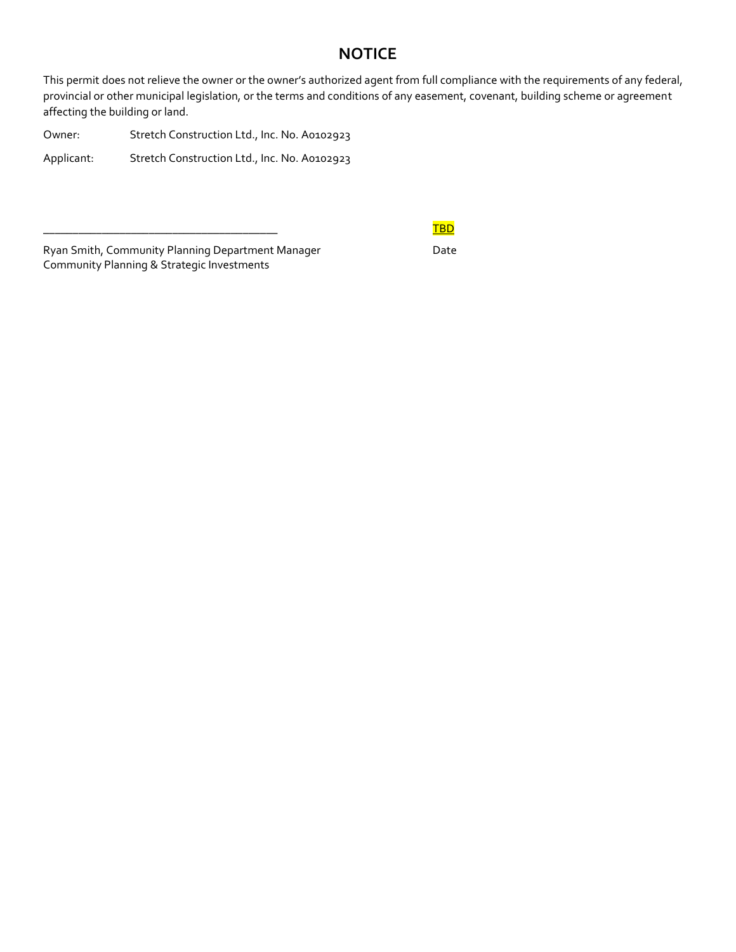# **NOTICE**

This permit does not relieve the owner or the owner's authorized agent from full compliance with the requirements of any federal, provincial or other municipal legislation, or the terms and conditions of any easement, covenant, building scheme or agreement affecting the building or land.

Owner: Stretch Construction Ltd., Inc. No. A0102923 Applicant: Stretch Construction Ltd., Inc. No. A0102923

Ryan Smith, Community Planning Department Manager Date Community Planning & Strategic Investments

# \_\_\_\_\_\_\_\_\_\_\_\_\_\_\_\_\_\_\_\_\_\_\_\_\_\_\_\_\_\_\_\_\_\_\_\_\_\_\_\_ TBD